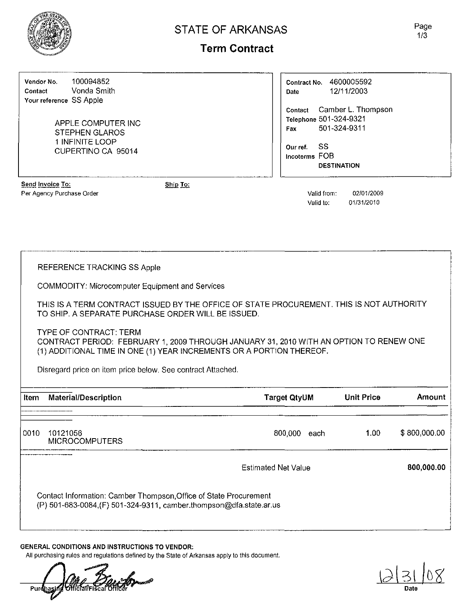

## STATE OF ARKANSAS

Page 1/3

## **Term Contract**

Vendor No. 100094852 Contact Vonda Smith Your reference SS Apple

> APPLE COMPUTER INC STEPHEN GLAROS 1 INFINITE LOOP CUPERTINO CA 95014

| Contract No.<br>Date      | 4600005592<br>12/11/2003                                     |  |
|---------------------------|--------------------------------------------------------------|--|
| Contact<br>Fax            | Camber L. Thompson<br>Telephone 501-324-9321<br>501-324-9311 |  |
| Our ref.<br>Incoterms FOB | SS<br><b>DESTINATION</b>                                     |  |

**Send Invoice To:** Per Agency Purchase Order Valid from: 02/01/2009

Ship To:

Valid to: 01/31/2010

REFERENCE TRACKING SS Apple

COMMODITY: Microcomputer Equipment and Services

THIS IS A TERM CONTRACT ISSUED BY THE OFFICE OF STATE PROCUREMENT. THIS IS NOT AUTHORITY TO SHIP. A SEPARATE PURCHASE ORDER WILL BE ISSUED.

TYPE OF CONTRACT: TERM CONTRACT PERIOD: FEBRUARY 1,2009 THROUGH JANUARY 31,2010 WITH AN OPTION TO RENEW ONE (1) ADDITIONAL TIME IN ONE (1) YEAR INCREMENTS OR A PORTION THEREOF.

Disregard price on item price below. See contract Attached.

| Item | Material/Description                                                                                                                     | <b>Target QtyUM</b>        | <b>Unit Price</b> | Amount       |
|------|------------------------------------------------------------------------------------------------------------------------------------------|----------------------------|-------------------|--------------|
| 0010 | 10121056<br><b>MICROCOMPUTERS</b>                                                                                                        | 800.000<br>each            | 1.00              | \$800,000.00 |
|      |                                                                                                                                          | <b>Estimated Net Value</b> |                   | 800,000.00   |
|      | Contact Information: Camber Thompson, Office of State Procurement<br>(P) 501-683-0084, (F) 501-324-9311, camber.thompson@dfa.state.ar.us |                            |                   |              |

#### GENERAL CONDITIONS AND INSTRUCTIONS TO VENDOR:

All purchasing rules and regulations defined by the State of Arkansas apply to this document.

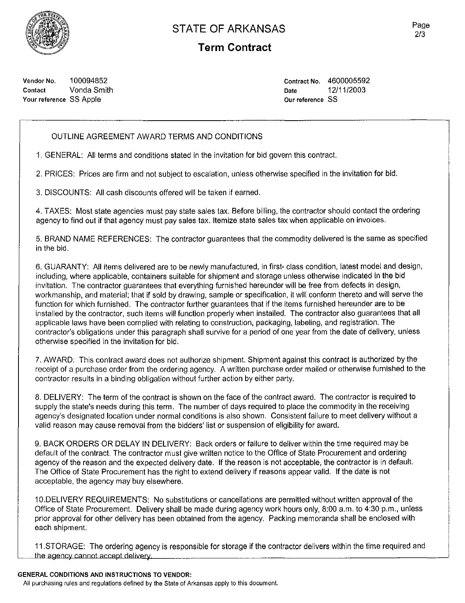

### **STATE OF ARKANSAS**

### **Term Contract**

Vendor No. 100094852 Contact Vonda Smith Your reference SS Apple

Contract No. 4600005592 Date 12/11/2003 **Our reference 55**

#### OUTLINE AGREEMENT AWARD TERMS AND CONDITIONS

1. GENERAL: All terms and conditions stated in the invitation for bid govern this contract.

2. PRiCES: Prices are firm and not subject to escalation, unless otherwise specified in the invitation for bid.

3. DISCOUNTS: All cash discounts offered will be taken if earned.

4. TAXES: Most state agencies must pay state sales tax. Before billing, the contractor should contact the ordering agency to find out if that agency must pay sales tax. Itemize state sales tax when applicable on invoices.

5. BRAND NAME REFERENCES: The contractor guarantees that the commodity delivered is the same as specified in the bid.

6. GUARANTY: All items delivered are to be newly manufactured, in first- class condition, latest modei and design, including, where applicable, containers suitable for shipment and storage unless otherwise indicated in the bid invitation. The contractor guarantees that everything furnished hereunder will be free from defects in design, workmanship, and material; that if sold by drawing, sample or specification, it will conform thereto and will serve the function for which furnished. The contractor further guarantees that if the items furnished hereunder are to be installed by the contractor, such items will function properly when installed. The contractor also guarantees that all applicable laws have been complied with relating to construction, packaging, labeling, and registration. The contractor's obligations under this paragraph shall survive for a period of one year from the date of delivery, unless otherwise specified in the invitation for bid.

7. AWARD: This contract award does not authorize shipment. Shipment against this contract is authorized by the receipt of a purchase order from the ordering agency. A written purchase order mailed or otherwise furnished to the contractor results in a binding obligation without further action by either party.

8. DELIVERY: The term of the contract is shown on the face of the contract award. The contractor is required to supply the state's needs during this term. The number of days required to place the commodity in the receiving agency's designated location under normal conditions is also shown. Consistent failure to meet delivery without a valid reason may cause removal from the bidders' list or suspension of eligibility for award.

9. BACK ORDERS OR DELAY IN DELIVERY: Back orders or failure to deliver within the time required may be default of the contract. The contractor must give written notice to the Office of State Procurement and ordering agency of the reason and the expected delivery date. If the reason is not acceptable, the contractor is in default. The Office of State Procurement has the right to extend delivery if reasons appear valid. If the date is not acceptable, the agency may buy eisewhere.

1ODELIVERY REQUIREMENTS: No substitutions or cancellations are permitted without written approval of the Office of State Procurement. Delivery shall be made during agency work hours only, 8:00 a.m. to 4:30 p.m., unless prior approval for other delivery has been obtained from the agency. Packing memoranda shall be enclosed with each shipment.

11.STORAGE: The ordering agency is responsible for storage if the contractor delivers within the time required and the agency cannot accept delivery.

#### GENERAL CONDITIONS AND INSTRUCTIONS TO VENDOR:

**All purchasing rules and regulations defined by the State of Arkansas apply to this document.**